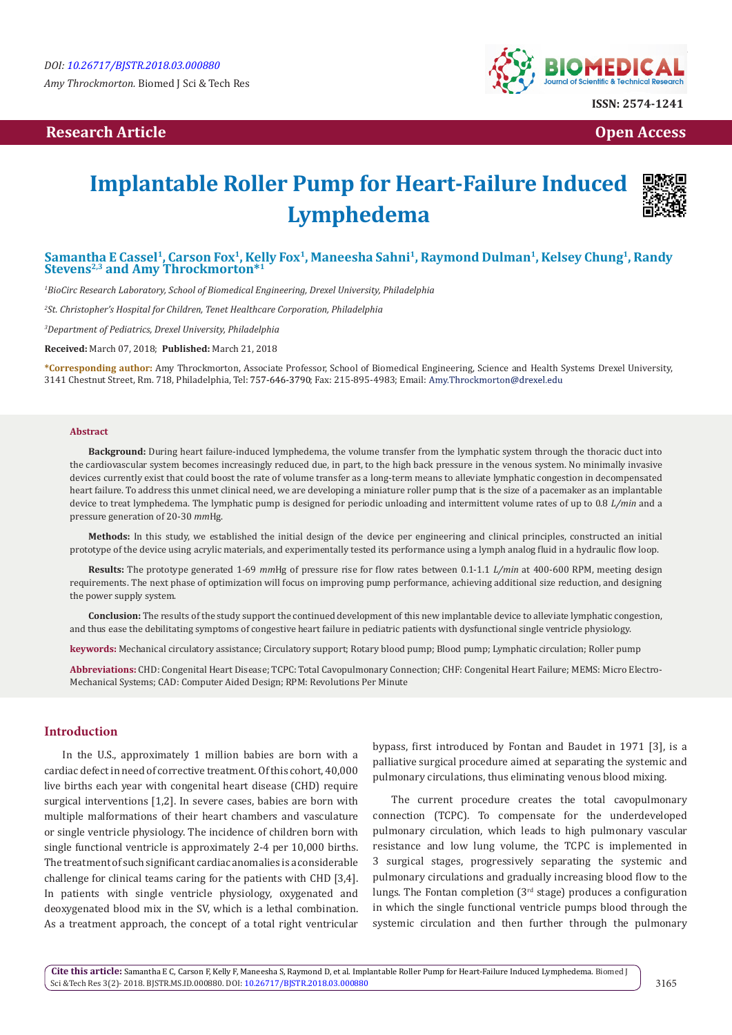## **Research Article Community Community Community Community Community Community Community Community Community Community Community Community Community Community Community Community Community Community Community Community Com**



# **Implantable Roller Pump for Heart-Failure Induced Lymphedema**



## Samantha E Cassel<sup>1</sup>, Carson Fox<sup>1</sup>, Kelly Fox<sup>1</sup>, Maneesha Sahni<sup>1</sup>, Raymond Dulman<sup>1</sup>, Kelsey Chung<sup>1</sup>, Randy **Stevens2,3 and Amy Throckmorton\*1**

*1 BioCirc Research Laboratory, School of Biomedical Engineering, Drexel University, Philadelphia* 

*2 St. Christopher's Hospital for Children, Tenet Healthcare Corporation, Philadelphia* 

*3 Department of Pediatrics, Drexel University, Philadelphia*

**Received:** March 07, 2018; **Published:** March 21, 2018

**\*Corresponding author:** Amy Throckmorton, Associate Professor, School of Biomedical Engineering, Science and Health Systems Drexel University, 3141 Chestnut Street, Rm. 718, Philadelphia, Tel: 757-646-3790; Fax: 215-895-4983; Email: Amy.Throckmorton@drexel.edu

#### **Abstract**

**Background:** During heart failure-induced lymphedema, the volume transfer from the lymphatic system through the thoracic duct into the cardiovascular system becomes increasingly reduced due, in part, to the high back pressure in the venous system. No minimally invasive devices currently exist that could boost the rate of volume transfer as a long-term means to alleviate lymphatic congestion in decompensated heart failure. To address this unmet clinical need, we are developing a miniature roller pump that is the size of a pacemaker as an implantable device to treat lymphedema. The lymphatic pump is designed for periodic unloading and intermittent volume rates of up to 0.8 *L/min* and a pressure generation of 20-30 *mm*Hg.

**Methods:** In this study, we established the initial design of the device per engineering and clinical principles, constructed an initial prototype of the device using acrylic materials, and experimentally tested its performance using a lymph analog fluid in a hydraulic flow loop.

**Results:** The prototype generated 1-69 *mm*Hg of pressure rise for flow rates between 0.1-1.1 *L/min* at 400-600 RPM, meeting design requirements. The next phase of optimization will focus on improving pump performance, achieving additional size reduction, and designing the power supply system.

**Conclusion:** The results of the study support the continued development of this new implantable device to alleviate lymphatic congestion, and thus ease the debilitating symptoms of congestive heart failure in pediatric patients with dysfunctional single ventricle physiology.

**keywords:** Mechanical circulatory assistance; Circulatory support; Rotary blood pump; Blood pump; Lymphatic circulation; Roller pump

**Abbreviations:** CHD: Congenital Heart Disease; TCPC: Total Cavopulmonary Connection; CHF: Congenital Heart Failure; MEMS: Micro Electro-Mechanical Systems; CAD: Computer Aided Design; RPM: Revolutions Per Minute

### **Introduction**

In the U.S., approximately 1 million babies are born with a cardiac defect in need of corrective treatment. Of this cohort, 40,000 live births each year with congenital heart disease (CHD) require surgical interventions [1,2]. In severe cases, babies are born with multiple malformations of their heart chambers and vasculature or single ventricle physiology. The incidence of children born with single functional ventricle is approximately 2-4 per 10,000 births. The treatment of such significant cardiac anomalies is a considerable challenge for clinical teams caring for the patients with CHD [3,4]. In patients with single ventricle physiology, oxygenated and deoxygenated blood mix in the SV, which is a lethal combination. As a treatment approach, the concept of a total right ventricular bypass, first introduced by Fontan and Baudet in 1971 [3], is a palliative surgical procedure aimed at separating the systemic and pulmonary circulations, thus eliminating venous blood mixing.

The current procedure creates the total cavopulmonary connection (TCPC). To compensate for the underdeveloped pulmonary circulation, which leads to high pulmonary vascular resistance and low lung volume, the TCPC is implemented in 3 surgical stages, progressively separating the systemic and pulmonary circulations and gradually increasing blood flow to the lungs. The Fontan completion  $(3<sup>rd</sup> stage)$  produces a configuration in which the single functional ventricle pumps blood through the systemic circulation and then further through the pulmonary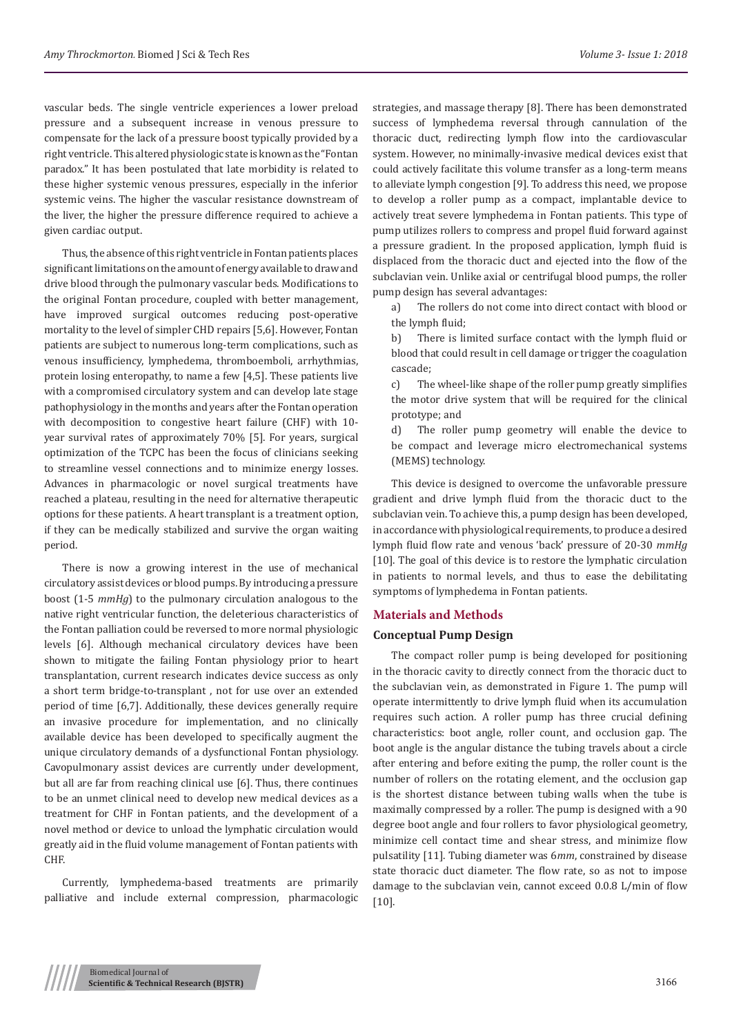vascular beds. The single ventricle experiences a lower preload pressure and a subsequent increase in venous pressure to compensate for the lack of a pressure boost typically provided by a right ventricle. This altered physiologic state is known as the "Fontan paradox." It has been postulated that late morbidity is related to these higher systemic venous pressures, especially in the inferior systemic veins. The higher the vascular resistance downstream of the liver, the higher the pressure difference required to achieve a given cardiac output.

Thus, the absence of this right ventricle in Fontan patients places significant limitations on the amount of energy available to draw and drive blood through the pulmonary vascular beds. Modifications to the original Fontan procedure, coupled with better management, have improved surgical outcomes reducing post-operative mortality to the level of simpler CHD repairs [5,6]. However, Fontan patients are subject to numerous long-term complications, such as venous insufficiency, lymphedema, thromboemboli, arrhythmias, protein losing enteropathy, to name a few [4,5]. These patients live with a compromised circulatory system and can develop late stage pathophysiology in the months and years after the Fontan operation with decomposition to congestive heart failure (CHF) with 10 year survival rates of approximately 70% [5]. For years, surgical optimization of the TCPC has been the focus of clinicians seeking to streamline vessel connections and to minimize energy losses. Advances in pharmacologic or novel surgical treatments have reached a plateau, resulting in the need for alternative therapeutic options for these patients. A heart transplant is a treatment option, if they can be medically stabilized and survive the organ waiting period.

There is now a growing interest in the use of mechanical circulatory assist devices or blood pumps. By introducing a pressure boost (1-5 *mmHg*) to the pulmonary circulation analogous to the native right ventricular function, the deleterious characteristics of the Fontan palliation could be reversed to more normal physiologic levels [6]. Although mechanical circulatory devices have been shown to mitigate the failing Fontan physiology prior to heart transplantation, current research indicates device success as only a short term bridge-to-transplant , not for use over an extended period of time [6,7]. Additionally, these devices generally require an invasive procedure for implementation, and no clinically available device has been developed to specifically augment the unique circulatory demands of a dysfunctional Fontan physiology. Cavopulmonary assist devices are currently under development, but all are far from reaching clinical use [6]. Thus, there continues to be an unmet clinical need to develop new medical devices as a treatment for CHF in Fontan patients, and the development of a novel method or device to unload the lymphatic circulation would greatly aid in the fluid volume management of Fontan patients with CHF.

Currently, lymphedema-based treatments are primarily palliative and include external compression, pharmacologic strategies, and massage therapy [8]. There has been demonstrated success of lymphedema reversal through cannulation of the thoracic duct, redirecting lymph flow into the cardiovascular system. However, no minimally-invasive medical devices exist that could actively facilitate this volume transfer as a long-term means to alleviate lymph congestion [9]. To address this need, we propose to develop a roller pump as a compact, implantable device to actively treat severe lymphedema in Fontan patients. This type of pump utilizes rollers to compress and propel fluid forward against a pressure gradient. In the proposed application, lymph fluid is displaced from the thoracic duct and ejected into the flow of the subclavian vein. Unlike axial or centrifugal blood pumps, the roller pump design has several advantages:

a) The rollers do not come into direct contact with blood or the lymph fluid;

b) There is limited surface contact with the lymph fluid or blood that could result in cell damage or trigger the coagulation cascade;

c) The wheel-like shape of the roller pump greatly simplifies the motor drive system that will be required for the clinical prototype; and

d) The roller pump geometry will enable the device to be compact and leverage micro electromechanical systems (MEMS) technology.

This device is designed to overcome the unfavorable pressure gradient and drive lymph fluid from the thoracic duct to the subclavian vein. To achieve this, a pump design has been developed, in accordance with physiological requirements, to produce a desired lymph fluid flow rate and venous 'back' pressure of 20-30 *mmHg* [10]. The goal of this device is to restore the lymphatic circulation in patients to normal levels, and thus to ease the debilitating symptoms of lymphedema in Fontan patients.

## **Materials and Methods**

#### **Conceptual Pump Design**

The compact roller pump is being developed for positioning in the thoracic cavity to directly connect from the thoracic duct to the subclavian vein, as demonstrated in Figure 1. The pump will operate intermittently to drive lymph fluid when its accumulation requires such action. A roller pump has three crucial defining characteristics: boot angle, roller count, and occlusion gap. The boot angle is the angular distance the tubing travels about a circle after entering and before exiting the pump, the roller count is the number of rollers on the rotating element, and the occlusion gap is the shortest distance between tubing walls when the tube is maximally compressed by a roller. The pump is designed with a 90 degree boot angle and four rollers to favor physiological geometry, minimize cell contact time and shear stress, and minimize flow pulsatility [11]. Tubing diameter was 6*mm*, constrained by disease state thoracic duct diameter. The flow rate, so as not to impose damage to the subclavian vein, cannot exceed 0.0.8 L/min of flow [10].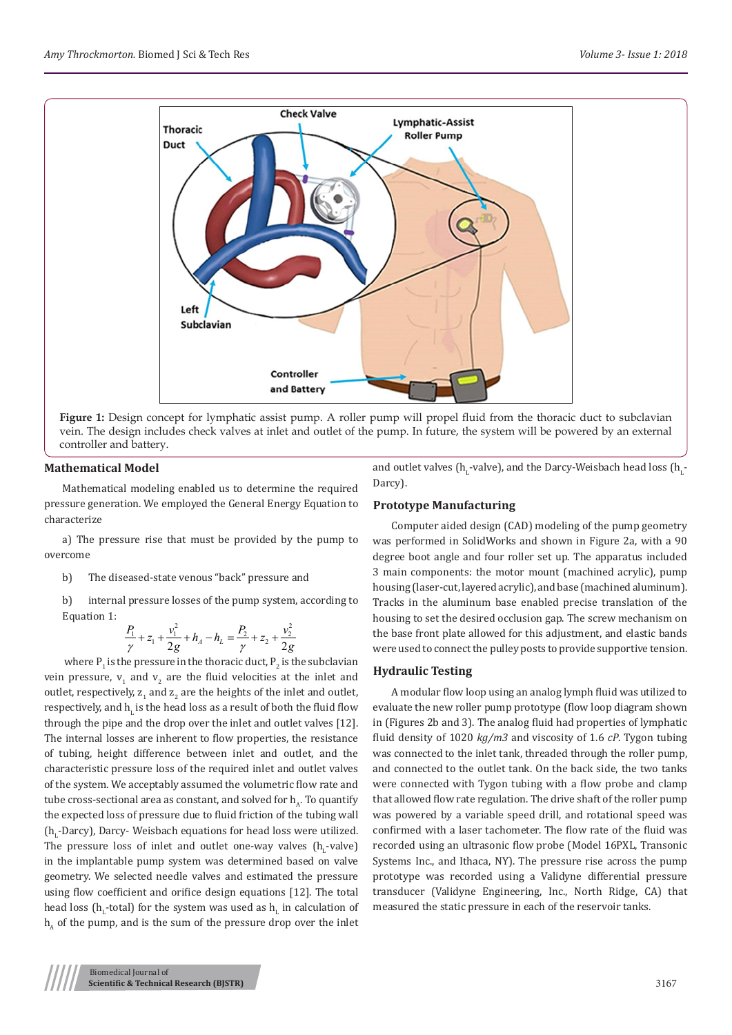

**Figure 1:** Design concept for lymphatic assist pump. A roller pump will propel fluid from the thoracic duct to subclavian vein. The design includes check valves at inlet and outlet of the pump. In future, the system will be powered by an external controller and battery.

## **Mathematical Model**

Mathematical modeling enabled us to determine the required pressure generation. We employed the General Energy Equation to characterize

a) The pressure rise that must be provided by the pump to overcome

b) The diseased-state venous "back" pressure and

b) internal pressure losses of the pump system, according to Equation 1:

$$
\frac{P_1}{\gamma} + z_1 + \frac{v_1^2}{2g} + h_A - h_L = \frac{P_2}{\gamma} + z_2 + \frac{v_2^2}{2g}
$$

where  $P_1$  is the pressure in the thoracic duct,  $P_2$  is the subclavian vein pressure,  $v_1$  and  $v_2$  are the fluid velocities at the inlet and outlet, respectively,  $z_1$  and  $z_2$  are the heights of the inlet and outlet, respectively, and h, is the head loss as a result of both the fluid flow through the pipe and the drop over the inlet and outlet valves [12]. The internal losses are inherent to flow properties, the resistance of tubing, height difference between inlet and outlet, and the characteristic pressure loss of the required inlet and outlet valves of the system. We acceptably assumed the volumetric flow rate and tube cross-sectional area as constant, and solved for  $h_a$ . To quantify the expected loss of pressure due to fluid friction of the tubing wall (h<sub>L</sub>-Darcy), Darcy- Weisbach equations for head loss were utilized. The pressure loss of inlet and outlet one-way valves  $(h_L$ -valve) in the implantable pump system was determined based on valve geometry. We selected needle valves and estimated the pressure using flow coefficient and orifice design equations [12]. The total head loss (h<sub>L</sub>-total) for the system was used as h<sub>L</sub> in calculation of  $h_a$  of the pump, and is the sum of the pressure drop over the inlet

and outlet valves (h<sub>l</sub>-valve), and the Darcy-Weisbach head loss (h<sub>l</sub>-Darcy).

#### **Prototype Manufacturing**

Computer aided design (CAD) modeling of the pump geometry was performed in SolidWorks and shown in Figure 2a, with a 90 degree boot angle and four roller set up. The apparatus included 3 main components: the motor mount (machined acrylic), pump housing (laser-cut, layered acrylic), and base (machined aluminum). Tracks in the aluminum base enabled precise translation of the housing to set the desired occlusion gap. The screw mechanism on the base front plate allowed for this adjustment, and elastic bands were used to connect the pulley posts to provide supportive tension.

## **Hydraulic Testing**

A modular flow loop using an analog lymph fluid was utilized to evaluate the new roller pump prototype (flow loop diagram shown in (Figures 2b and 3). The analog fluid had properties of lymphatic fluid density of 1020 *kg/m3* and viscosity of 1.6 *cP*. Tygon tubing was connected to the inlet tank, threaded through the roller pump, and connected to the outlet tank. On the back side, the two tanks were connected with Tygon tubing with a flow probe and clamp that allowed flow rate regulation. The drive shaft of the roller pump was powered by a variable speed drill, and rotational speed was confirmed with a laser tachometer. The flow rate of the fluid was recorded using an ultrasonic flow probe (Model 16PXL, Transonic Systems Inc., and Ithaca, NY). The pressure rise across the pump prototype was recorded using a Validyne differential pressure transducer (Validyne Engineering, Inc., North Ridge, CA) that measured the static pressure in each of the reservoir tanks.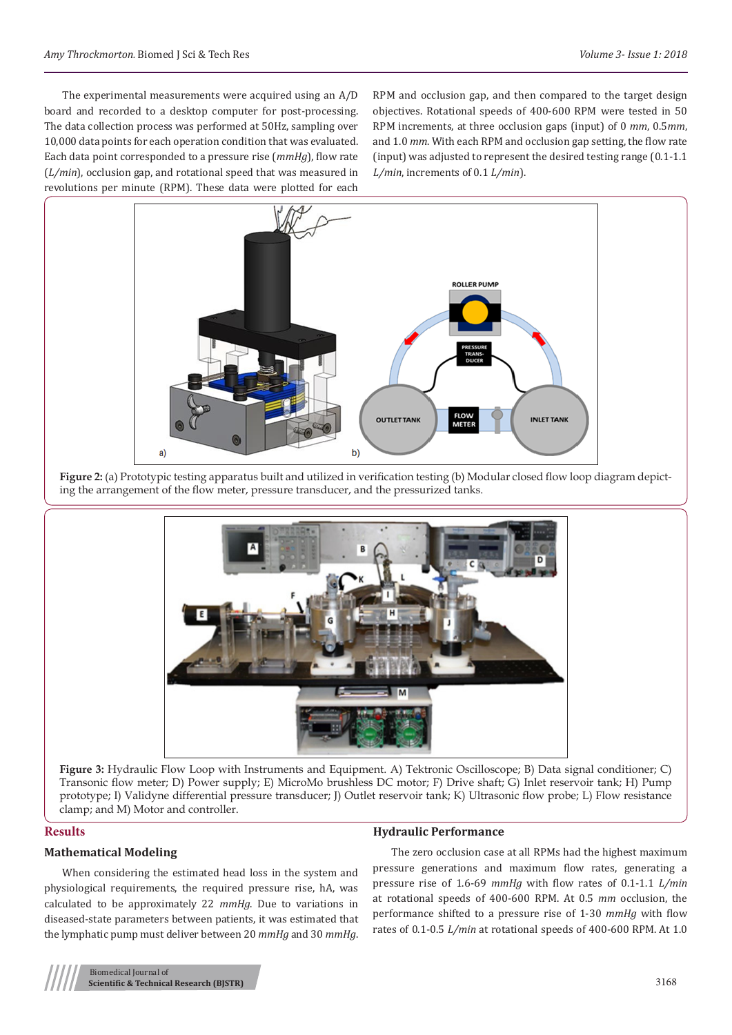The experimental measurements were acquired using an A/D board and recorded to a desktop computer for post-processing. The data collection process was performed at 50Hz, sampling over 10,000 data points for each operation condition that was evaluated. Each data point corresponded to a pressure rise (*mmHg*), flow rate (*L/min*), occlusion gap, and rotational speed that was measured in revolutions per minute (RPM). These data were plotted for each

RPM and occlusion gap, and then compared to the target design objectives. Rotational speeds of 400-600 RPM were tested in 50 RPM increments, at three occlusion gaps (input) of 0 *mm*, 0.5*mm*, and 1.0 *mm*. With each RPM and occlusion gap setting, the flow rate (input) was adjusted to represent the desired testing range (0.1-1.1 *L/min*, increments of 0.1 *L/min*).



Figure 2: (a) Prototypic testing apparatus built and utilized in verification testing (b) Modular closed flow loop diagram depicting the arrangement of the flow meter, pressure transducer, and the pressurized tanks.



**Figure 3:** Hydraulic Flow Loop with Instruments and Equipment. A) Tektronic Oscilloscope; B) Data signal conditioner; C) Transonic flow meter; D) Power supply; E) MicroMo brushless DC motor; F) Drive shaft; G) Inlet reservoir tank; H) Pump prototype; I) Validyne differential pressure transducer; J) Outlet reservoir tank; K) Ultrasonic flow probe; L) Flow resistance clamp; and M) Motor and controller.

## **Results**

## **Mathematical Modeling**

When considering the estimated head loss in the system and physiological requirements, the required pressure rise, hA, was calculated to be approximately 22 *mmHg*. Due to variations in diseased-state parameters between patients, it was estimated that the lymphatic pump must deliver between 20 *mmHg* and 30 *mmHg*.

### **Hydraulic Performance**

The zero occlusion case at all RPMs had the highest maximum pressure generations and maximum flow rates, generating a pressure rise of 1.6-69 *mmHg* with flow rates of 0.1-1.1 *L/min* at rotational speeds of 400-600 RPM. At 0.5 *mm* occlusion, the performance shifted to a pressure rise of 1-30 *mmHg* with flow rates of 0.1-0.5 *L/min* at rotational speeds of 400-600 RPM. At 1.0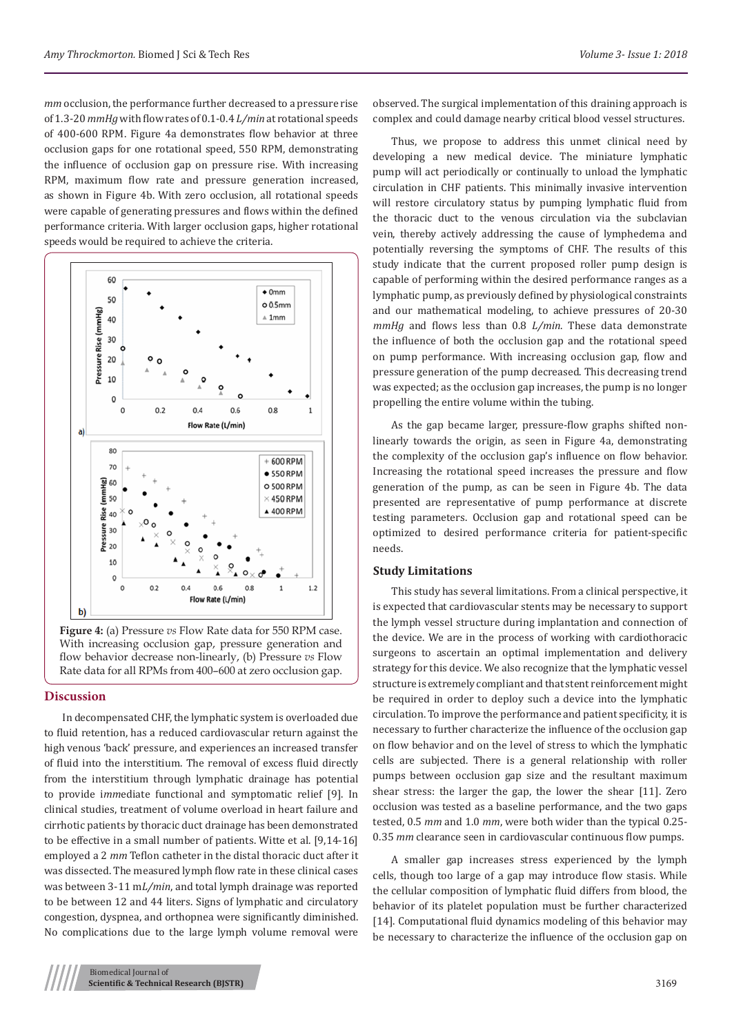*mm* occlusion, the performance further decreased to a pressure rise of 1.3-20 *mmHg* with flow rates of 0.1-0.4 *L/min* at rotational speeds of 400-600 RPM. Figure 4a demonstrates flow behavior at three occlusion gaps for one rotational speed, 550 RPM, demonstrating the influence of occlusion gap on pressure rise. With increasing RPM, maximum flow rate and pressure generation increased, as shown in Figure 4b. With zero occlusion, all rotational speeds were capable of generating pressures and flows within the defined performance criteria. With larger occlusion gaps, higher rotational speeds would be required to achieve the criteria.



**Figure 4:** (a) Pressure *vs* Flow Rate data for 550 RPM case. With increasing occlusion gap, pressure generation and flow behavior decrease non-linearly, (b) Pressure *vs* Flow Rate data for all RPMs from 400–600 at zero occlusion gap.

#### **Discussion**

In decompensated CHF, the lymphatic system is overloaded due to fluid retention, has a reduced cardiovascular return against the high venous 'back' pressure, and experiences an increased transfer of fluid into the interstitium. The removal of excess fluid directly from the interstitium through lymphatic drainage has potential to provide i*mm*ediate functional and symptomatic relief [9]. In clinical studies, treatment of volume overload in heart failure and cirrhotic patients by thoracic duct drainage has been demonstrated to be effective in a small number of patients. Witte et al. [9,14-16] employed a 2 *mm* Teflon catheter in the distal thoracic duct after it was dissected. The measured lymph flow rate in these clinical cases was between 3-11 m*L/min*, and total lymph drainage was reported to be between 12 and 44 liters. Signs of lymphatic and circulatory congestion, dyspnea, and orthopnea were significantly diminished. No complications due to the large lymph volume removal were

observed. The surgical implementation of this draining approach is complex and could damage nearby critical blood vessel structures.

Thus, we propose to address this unmet clinical need by developing a new medical device. The miniature lymphatic pump will act periodically or continually to unload the lymphatic circulation in CHF patients. This minimally invasive intervention will restore circulatory status by pumping lymphatic fluid from the thoracic duct to the venous circulation via the subclavian vein, thereby actively addressing the cause of lymphedema and potentially reversing the symptoms of CHF. The results of this study indicate that the current proposed roller pump design is capable of performing within the desired performance ranges as a lymphatic pump, as previously defined by physiological constraints and our mathematical modeling, to achieve pressures of 20-30 *mmHg* and flows less than 0.8 *L/min*. These data demonstrate the influence of both the occlusion gap and the rotational speed on pump performance. With increasing occlusion gap, flow and pressure generation of the pump decreased. This decreasing trend was expected; as the occlusion gap increases, the pump is no longer propelling the entire volume within the tubing.

As the gap became larger, pressure-flow graphs shifted nonlinearly towards the origin, as seen in Figure 4a, demonstrating the complexity of the occlusion gap's influence on flow behavior. Increasing the rotational speed increases the pressure and flow generation of the pump, as can be seen in Figure 4b. The data presented are representative of pump performance at discrete testing parameters. Occlusion gap and rotational speed can be optimized to desired performance criteria for patient-specific needs.

## **Study Limitations**

This study has several limitations. From a clinical perspective, it is expected that cardiovascular stents may be necessary to support the lymph vessel structure during implantation and connection of the device. We are in the process of working with cardiothoracic surgeons to ascertain an optimal implementation and delivery strategy for this device. We also recognize that the lymphatic vessel structure is extremely compliant and that stent reinforcement might be required in order to deploy such a device into the lymphatic circulation. To improve the performance and patient specificity, it is necessary to further characterize the influence of the occlusion gap on flow behavior and on the level of stress to which the lymphatic cells are subjected. There is a general relationship with roller pumps between occlusion gap size and the resultant maximum shear stress: the larger the gap, the lower the shear [11]. Zero occlusion was tested as a baseline performance, and the two gaps tested, 0.5 *mm* and 1.0 *mm*, were both wider than the typical 0.25- 0.35 *mm* clearance seen in cardiovascular continuous flow pumps.

A smaller gap increases stress experienced by the lymph cells, though too large of a gap may introduce flow stasis. While the cellular composition of lymphatic fluid differs from blood, the behavior of its platelet population must be further characterized [14]. Computational fluid dynamics modeling of this behavior may be necessary to characterize the influence of the occlusion gap on